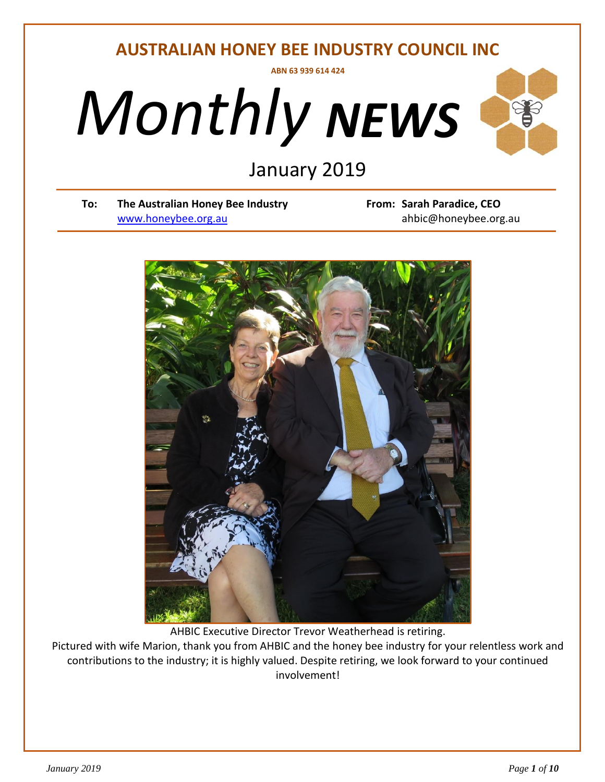## **AUSTRALIAN HONEY BEE INDUSTRY COUNCIL INC ABN 63 939 614 424**





# *Derminary* 2019<br> *D*<br> *D*<br> *D*<br> *Derminalistry*<br>
From

**To: The Australian Honey Bee Industry From: Sarah Paradice, CEO** [www.honeybee.org.au](http://www.honeybee.org.au/) ahbic@honeybee.org.au



AHBIC Executive Director Trevor Weatherhead is retiring.

Pictured with wife Marion, thank you from AHBIC and the honey bee industry for your relentless work and contributions to the industry; it is highly valued. Despite retiring, we look forward to your continued involvement!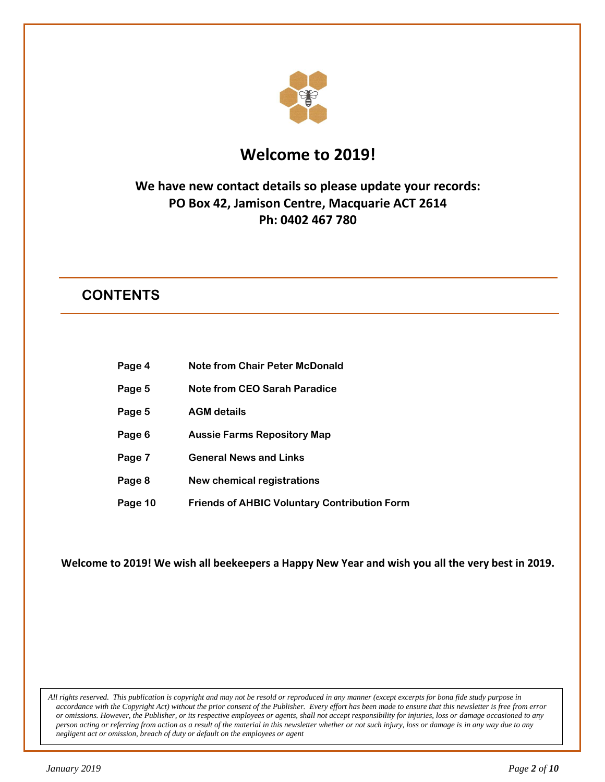

## **Welcome to 2019!**

## **We have new contact details so please update your records: PO Box 42, Jamison Centre, Macquarie ACT 2614 Ph: 0402 467 780**

## **CONTENTS**

- **Page 4 Note from Chair Peter McDonald**
- **Page 5 Note from CEO Sarah Paradice**
- **Page 5 AGM details**
- **Page 6 Aussie Farms Repository Map**
- **Page 7 General News and Links**
- **Page 8 New chemical registrations**
- **Page 10 Friends of AHBIC Voluntary Contribution Form**

**Welcome to 2019! We wish all beekeepers a Happy New Year and wish you all the very best in 2019.**

*All rights reserved. This publication is copyright and may not be resold or reproduced in any manner (except excerpts for bona fide study purpose in accordance with the Copyright Act) without the prior consent of the Publisher. Every effort has been made to ensure that this newsletter is free from error or omissions. However, the Publisher, or its respective employees or agents, shall not accept responsibility for injuries, loss or damage occasioned to any person acting or referring from action as a result of the material in this newsletter whether or not such injury, loss or damage is in any way due to any negligent act or omission, breach of duty or default on the employees or agent*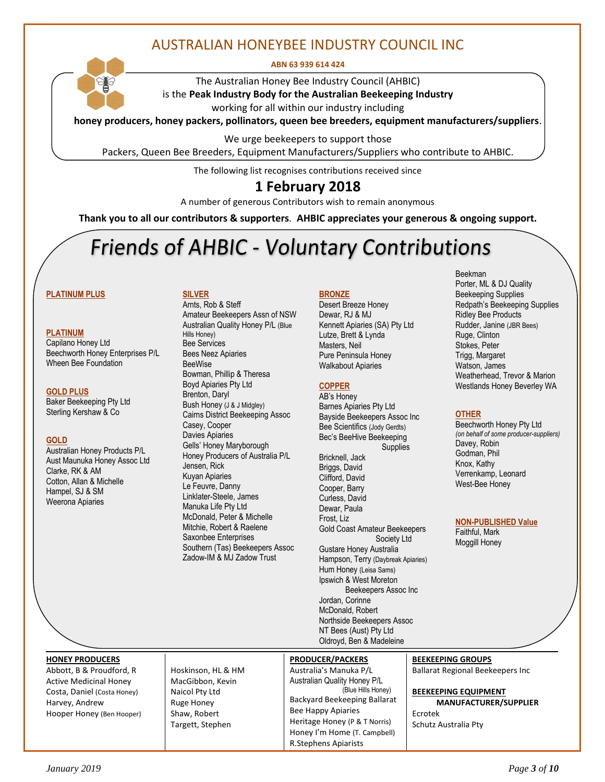## AUSTRALIAN HONEYBEE INDUSTRY COUNCIL INC

**ABN 63 939 614 424**



The Australian Honey Bee Industry Council (AHBIC) is the **Peak Industry Body for the Australian Beekeeping Industry** working for all within our industry including

**honey producers, honey packers, pollinators, queen bee breeders, equipment manufacturers/suppliers**.

We urge beekeepers to support those

Packers, Queen Bee Breeders, Equipment Manufacturers/Suppliers who contribute to AHBIC.

The following list recognises contributions received since

### **1 February 2018**

A number of generous Contributors wish to remain anonymous

**Thank you to all our contributors & supporters***.* **AHBIC appreciates your generous & ongoing support.**

## **Friends of AHBIC - Voluntary Contributions**

#### **PLATINUM PLUS**

#### **PLATINUM**

Capilano Honey Ltd Beechworth Honey Enterprises P/L Wheen Bee Foundation

#### **GOLD PLUS**

Baker Beekeeping Pty Ltd Sterling Kershaw & Co

#### **GOLD**

Australian Honey Products P/L Aust Maunuka Honey Assoc Ltd Clarke, RK & AM Cotton, Allan & Michelle Hampel, SJ & SM Weerona Apiaries

#### **SILVER**

Arnts, Rob & Steff Amateur Beekeepers Assn of NSW Australian Quality Honey P/L (Blue Hills Honey) Bee Services Bees Neez Apiaries BeeWise Bowman, Phillip & Theresa Boyd Apiaries Pty Ltd Brenton, Daryl Bush Honey (J & J Midgley) Cairns District Beekeeping Assoc Casey, Cooper Davies Apiaries Gells' Honey Maryborough Honey Producers of Australia P/L Jensen, Rick Kuyan Apiaries Le Feuvre, Danny Linklater-Steele, James Manuka Life Pty Ltd McDonald, Peter & Michelle Mitchie, Robert & Raelene Saxonbee Enterprises Southern (Tas) Beekeepers Assoc Zadow-IM & MJ Zadow Trust

#### **BRONZE**

Desert Breeze Honey Dewar, RJ & MJ Kennett Apiaries (SA) Pty Ltd Lutze, Brett & Lynda Masters, Neil Pure Peninsula Honey Walkabout Apiaries

#### **COPPER**

AB's Honey Barnes Apiaries Pty Ltd Bayside Beekeepers Assoc Inc Bee Scientifics (Jody Gerdts) Bec's BeeHive Beekeeping **Supplies** Bricknell, Jack Briggs, David Clifford, David Cooper, Barry Curless, David Dewar, Paula Frost, Liz Gold Coast Amateur Beekeepers Society Ltd Gustare Honey Australia Hampson, Terry (Daybreak Apiaries) Hum Honey (Leisa Sams) Ipswich & West Moreton Beekeepers Assoc Inc Jordan, Corinne McDonald, Robert Northside Beekeepers Assoc NT Bees (Aust) Pty Ltd Oldroyd, Ben & Madeleine

Beekman Porter, ML & DJ Quality Beekeeping Supplies Redpath's Beekeeping Supplies Ridley Bee Products Rudder, Janine (JBR Bees) Ruge, Clinton Stokes, Peter Trigg, Margaret Watson, James Weatherhead, Trevor & Marion Westlands Honey Beverley WA

#### **OTHER**

Beechworth Honey Pty Ltd *(on behalf of some producer-suppliers)* Davey, Robin Godman, Phil Knox, Kathy Verrenkamp, Leonard West-Bee Honey

**NON-PUBLISHED Value**

Faithful, Mark Moggill Honey

**HONEY PRODUCERS**

Abbott, B & Proudford, R Active Medicinal Honey Costa, Daniel (Costa Honey) Harvey, Andrew Hooper Honey (Ben Hooper)

Hoskinson, HL & HM MacGibbon, Kevin Naicol Pty Ltd Ruge Honey Shaw, Robert Targett, Stephen

#### **PRODUCER/PACKERS**

Australia's Manuka P/L Australian Quality Honey P/L (Blue Hills Honey) Backyard Beekeeping Ballarat Bee Happy Apiaries Heritage Honey (P & T Norris) Honey I'm Home (T. Campbell) R.Stephens Apiarists

**BEEKEEPING GROUPS**

Ballarat Regional Beekeepers Inc

**BEEKEEPING EQUIPMENT** 

 **MANUFACTURER/SUPPLIER** Ecrotek Schutz Australia Pty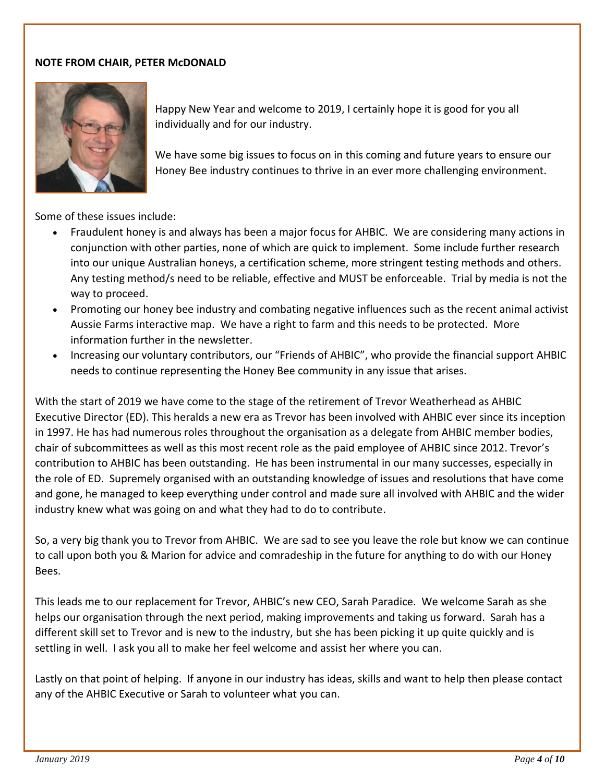#### **NOTE FROM CHAIR, PETER McDONALD**



Happy New Year and welcome to 2019, I certainly hope it is good for you all individually and for our industry.

We have some big issues to focus on in this coming and future years to ensure our Honey Bee industry continues to thrive in an ever more challenging environment.

Some of these issues include:

- Fraudulent honey is and always has been a major focus for AHBIC. We are considering many actions in conjunction with other parties, none of which are quick to implement. Some include further research into our unique Australian honeys, a certification scheme, more stringent testing methods and others. Any testing method/s need to be reliable, effective and MUST be enforceable. Trial by media is not the way to proceed.
- Promoting our honey bee industry and combating negative influences such as the recent animal activist Aussie Farms interactive map. We have a right to farm and this needs to be protected. More information further in the newsletter.
- Increasing our voluntary contributors, our "Friends of AHBIC", who provide the financial support AHBIC needs to continue representing the Honey Bee community in any issue that arises.

With the start of 2019 we have come to the stage of the retirement of Trevor Weatherhead as AHBIC Executive Director (ED). This heralds a new era as Trevor has been involved with AHBIC ever since its inception in 1997. He has had numerous roles throughout the organisation as a delegate from AHBIC member bodies, chair of subcommittees as well as this most recent role as the paid employee of AHBIC since 2012. Trevor's contribution to AHBIC has been outstanding. He has been instrumental in our many successes, especially in the role of ED. Supremely organised with an outstanding knowledge of issues and resolutions that have come and gone, he managed to keep everything under control and made sure all involved with AHBIC and the wider industry knew what was going on and what they had to do to contribute.

So, a very big thank you to Trevor from AHBIC. We are sad to see you leave the role but know we can continue to call upon both you & Marion for advice and comradeship in the future for anything to do with our Honey Bees.

This leads me to our replacement for Trevor, AHBIC's new CEO, Sarah Paradice. We welcome Sarah as she helps our organisation through the next period, making improvements and taking us forward. Sarah has a different skill set to Trevor and is new to the industry, but she has been picking it up quite quickly and is settling in well. I ask you all to make her feel welcome and assist her where you can.

Lastly on that point of helping. If anyone in our industry has ideas, skills and want to help then please contact any of the AHBIC Executive or Sarah to volunteer what you can.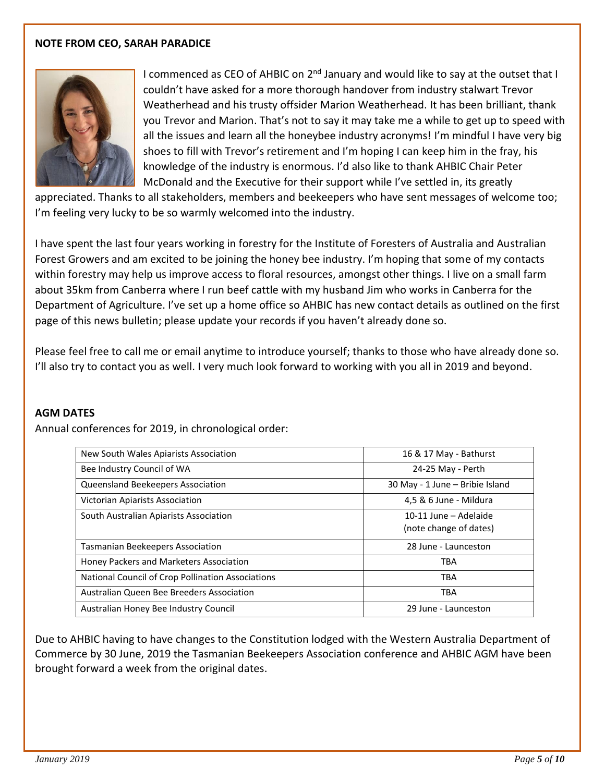#### **NOTE FROM CEO, SARAH PARADICE**



I commenced as CEO of AHBIC on 2<sup>nd</sup> January and would like to say at the outset that I couldn't have asked for a more thorough handover from industry stalwart Trevor Weatherhead and his trusty offsider Marion Weatherhead. It has been brilliant, thank you Trevor and Marion. That's not to say it may take me a while to get up to speed with all the issues and learn all the honeybee industry acronyms! I'm mindful I have very big shoes to fill with Trevor's retirement and I'm hoping I can keep him in the fray, his knowledge of the industry is enormous. I'd also like to thank AHBIC Chair Peter McDonald and the Executive for their support while I've settled in, its greatly

appreciated. Thanks to all stakeholders, members and beekeepers who have sent messages of welcome too; I'm feeling very lucky to be so warmly welcomed into the industry.

I have spent the last four years working in forestry for the Institute of Foresters of Australia and Australian Forest Growers and am excited to be joining the honey bee industry. I'm hoping that some of my contacts within forestry may help us improve access to floral resources, amongst other things. I live on a small farm about 35km from Canberra where I run beef cattle with my husband Jim who works in Canberra for the Department of Agriculture. I've set up a home office so AHBIC has new contact details as outlined on the first page of this news bulletin; please update your records if you haven't already done so.

Please feel free to call me or email anytime to introduce yourself; thanks to those who have already done so. I'll also try to contact you as well. I very much look forward to working with you all in 2019 and beyond.

#### **AGM DATES**

Annual conferences for 2019, in chronological order:

| New South Wales Apiarists Association             | 16 & 17 May - Bathurst                          |  |  |
|---------------------------------------------------|-------------------------------------------------|--|--|
| Bee Industry Council of WA                        | 24-25 May - Perth                               |  |  |
| Queensland Beekeepers Association                 | 30 May - 1 June - Bribie Island                 |  |  |
| <b>Victorian Apiarists Association</b>            | 4,5 & 6 June - Mildura                          |  |  |
| South Australian Apiarists Association            | 10-11 June – Adelaide<br>(note change of dates) |  |  |
|                                                   |                                                 |  |  |
| Tasmanian Beekeepers Association                  | 28 June - Launceston                            |  |  |
| Honey Packers and Marketers Association           | <b>TBA</b>                                      |  |  |
| National Council of Crop Pollination Associations | <b>TBA</b>                                      |  |  |
| Australian Queen Bee Breeders Association         | <b>TBA</b>                                      |  |  |
| Australian Honey Bee Industry Council             | 29 June - Launceston                            |  |  |

Due to AHBIC having to have changes to the Constitution lodged with the Western Australia Department of Commerce by 30 June, 2019 the Tasmanian Beekeepers Association conference and AHBIC AGM have been brought forward a week from the original dates.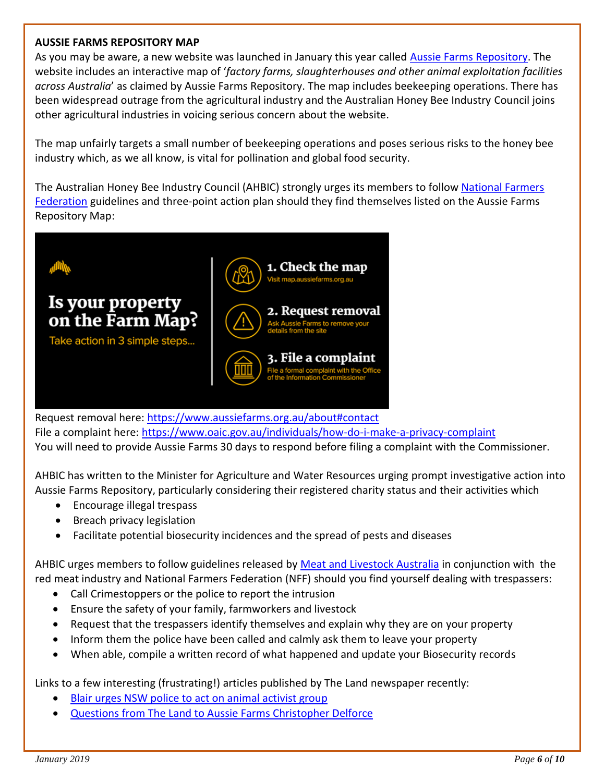#### **AUSSIE FARMS REPOSITORY MAP**

As you may be aware, a new website was launched in January this year called [Aussie Farms Repository.](https://www.aussiefarms.org.au/) The website includes an interactive map of '*factory farms, slaughterhouses and other animal exploitation facilities across Australia*' as claimed by Aussie Farms Repository. The map includes beekeeping operations. There has been widespread outrage from the agricultural industry and the Australian Honey Bee Industry Council joins other agricultural industries in voicing serious concern about the website.

The map unfairly targets a small number of beekeeping operations and poses serious risks to the honey bee industry which, as we all know, is vital for pollination and global food security.

The Australian Honey Bee Industry Council (AHBIC) strongly urges its members to follow [National Farmers](https://farmers.org.au/news/fighting-back-against-the-activist-farm-map/)  [Federation](https://farmers.org.au/news/fighting-back-against-the-activist-farm-map/) guidelines and three-point action plan should they find themselves listed on the Aussie Farms Repository Map:



Request removal here:<https://www.aussiefarms.org.au/about#contact> File a complaint here:<https://www.oaic.gov.au/individuals/how-do-i-make-a-privacy-complaint> You will need to provide Aussie Farms 30 days to respond before filing a complaint with the Commissioner.

AHBIC has written to the Minister for Agriculture and Water Resources urging prompt investigative action into Aussie Farms Repository, particularly considering their registered charity status and their activities which

- Encourage illegal trespass
- Breach privacy legislation
- Facilitate potential biosecurity incidences and the spread of pests and diseases

AHBIC urges members to follow guidelines released by [Meat and Livestock Australia](https://www.mla.com.au/news-and-events/industry-news/aussie-farms-online-map--advice-for-red-meat-producers/) in conjunction with the red meat industry and National Farmers Federation (NFF) should you find yourself dealing with trespassers:

- Call Crimestoppers or the police to report the intrusion
- Ensure the safety of your family, farmworkers and livestock
- Request that the trespassers identify themselves and explain why they are on your property
- Inform them the police have been called and calmly ask them to leave your property
- When able, compile a written record of what happened and update your Biosecurity records

Links to a few interesting (frustrating!) articles published by The Land newspaper recently:

- [Blair urges NSW police to act on animal activist group](https://www.theland.com.au/story/5876633/agencies-move-in-on-animal-activists-over-map/)
- [Questions from The Land to Aussie Farms Christopher Delforce](https://www.theland.com.au/story/5874459/aussie-farms-qa-with-christopher-delforce/?cs=4941)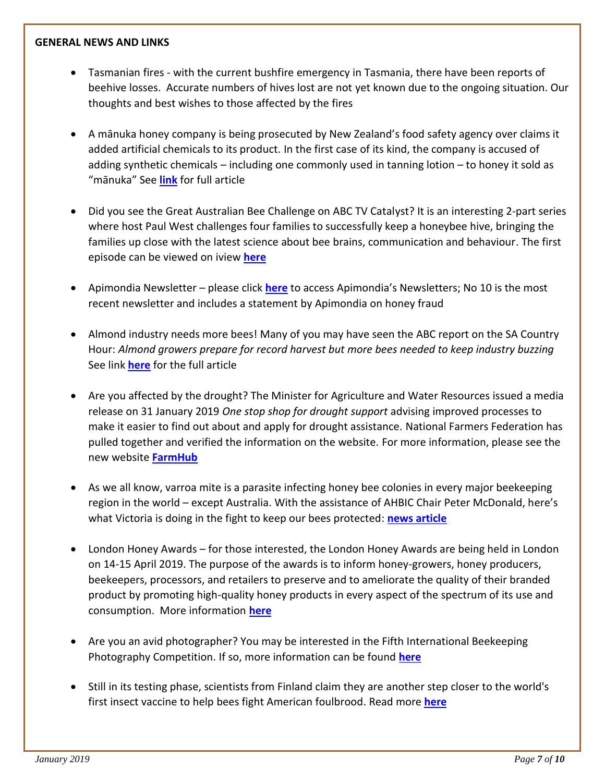#### **GENERAL NEWS AND LINKS**

- Tasmanian fires with the current bushfire emergency in Tasmania, there have been reports of beehive losses. Accurate numbers of hives lost are not yet known due to the ongoing situation. Our thoughts and best wishes to those affected by the fires
- A mānuka honey company is being prosecuted by New Zealand's food safety agency over claims it added artificial chemicals to its product. In the first case of its kind, the company is accused of adding synthetic chemicals – including one commonly used in tanning lotion – to honey it sold as "mānuka" See **[link](https://www.theguardian.com/world/2019/jan/31/new-zealand-brings-first-manuka-honey-prosecution-chemicals)** for full article
- Did you see the Great Australian Bee Challenge on ABC TV Catalyst? It is an interesting 2-part series where host Paul West challenges four families to successfully keep a honeybee hive, bringing the families up close with the latest science about bee brains, communication and behaviour. The first episode can be viewed on iview **[here](https://iview.abc.net.au/show/great-australian-bee-challenge)**
- Apimondia Newsletter please click **[here](http://www.apimondia.com/en/activities/newsletters)** to access Apimondia's Newsletters; No 10 is the most recent newsletter and includes a statement by Apimondia on honey fraud
- Almond industry needs more bees! Many of you may have seen the ABC report on the SA Country Hour: *Almond growers prepare for record harvest but more bees needed to keep industry buzzing* See link **[here](https://www.abc.net.au/news/rural/2019-01-21/almond-industry-booming-but-more-bees-needed/10724074)** for the full article
- Are you affected by the drought? The Minister for Agriculture and Water Resources issued a media release on 31 January 2019 *One stop shop for drought support* advising improved processes to make it easier to find out about and apply for drought assistance. National Farmers Federation has pulled together and verified the information on the website. For more information, please see the new website **[FarmHub](https://farmhub.org.au/)**
- As we all know, varroa mite is a parasite infecting honey bee colonies in every major beekeeping region in the world – except Australia. With the assistance of AHBIC Chair Peter McDonald, here's what Victoria is doing in the fight to keep our bees protected: **[news article](https://nam05.safelinks.protection.outlook.com/?url=https%3A%2F%2Fconnection.vic.gov.au%2Fbee-biosecurity-protecting-our-honey-and-crops-from-varroa-mite&data=02%7C01%7C%7C5fb0d85d14014f9c420f08d67e7a4b41%7C84df9e7fe9f640afb435aaaaaaaaaaaa%7C1%7C0%7C636835461046708028&sdata=1mrIs3y9y%2BMfVbG2VuTaYP9d9J8UAFe4J4CbhKBxzHo%3D&reserved=0)**
- London Honey Awards for those interested, the London Honey Awards are being held in London on 14-15 April 2019. The purpose of the awards is to inform honey-growers, honey producers, beekeepers, processors, and retailers to preserve and to ameliorate the quality of their branded product by promoting high-quality honey products in every aspect of the spectrum of its use and consumption. More information **[here](http://www.londonhoneyawards.com/)**
- Are you an avid photographer? You may be interested in the Fifth International Beekeeping Photography Competition. If so, more information can be found **[here](http://www.czs.si/objave_podrobno_czs/9816)**
- Still in its testing phase, scientists from Finland claim they are another step closer to the world's first insect vaccine to help bees fight American foulbrood. Read more **[here](https://www.npr.org/sections/thesalt/2018/12/07/674587061/worlds-first-insect-vaccine-could-help-bees-fight-off-deadly-disease)**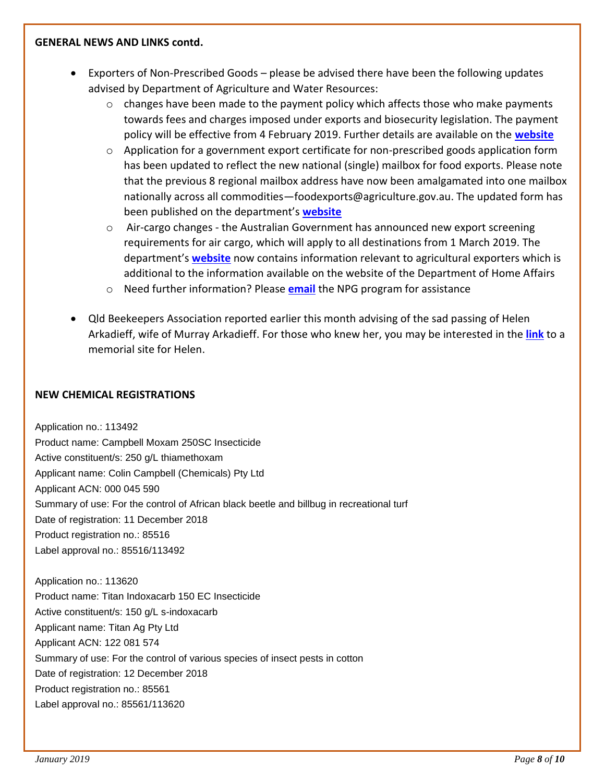#### **GENERAL NEWS AND LINKS contd.**

- Exporters of Non-Prescribed Goods please be advised there have been the following updates advised by Department of Agriculture and Water Resources:
	- $\circ$  changes have been made to the payment policy which affects those who make payments towards fees and charges imposed under exports and biosecurity legislation. The payment policy will be effective from 4 February 2019. Further details are available on the **[website](http://www.agriculture.gov.au/about/payments)**
	- $\circ$  Application for a government export certificate for non-prescribed goods application form has been updated to reflect the new national (single) mailbox for food exports. Please note that the previous 8 regional mailbox address have now been amalgamated into one mailbox nationally across all commodities—foodexports@agriculture.gov.au. The updated form has been published on the department's **[website](http://www.agriculture.gov.au/export/controlled-goods/non-prescribed-goods/forms/application-export-certificate)**
	- $\circ$  Air-cargo changes the Australian Government has announced new export screening requirements for air cargo, which will apply to all destinations from 1 March 2019. The department's **[website](http://www.agriculture.gov.au/export/from-australia/air-cargo-changes)** now contains information relevant to agricultural exporters which is additional to the information available on the website of the Department of Home Affairs
	- o Need further information? Please **[email](mailto::NPGExports@agriculture.gov.au)** the NPG program for assistance
- Qld Beekeepers Association reported earlier this month advising of the sad passing of Helen Arkadieff, wife of Murray Arkadieff. For those who knew her, you may be interested in the **[link](https://fortheloveofhelen.wixsite.com/website)** to a memorial site for Helen.

#### **NEW CHEMICAL REGISTRATIONS**

Application no.: 113492 Product name: Campbell Moxam 250SC Insecticide Active constituent/s: 250 g/L thiamethoxam Applicant name: Colin Campbell (Chemicals) Pty Ltd Applicant ACN: 000 045 590 Summary of use: For the control of African black beetle and billbug in recreational turf Date of registration: 11 December 2018 Product registration no.: 85516 Label approval no.: 85516/113492

Application no.: 113620 Product name: Titan Indoxacarb 150 EC Insecticide Active constituent/s: 150 g/L s-indoxacarb Applicant name: Titan Ag Pty Ltd Applicant ACN: 122 081 574 Summary of use: For the control of various species of insect pests in cotton Date of registration: 12 December 2018 Product registration no.: 85561 Label approval no.: 85561/113620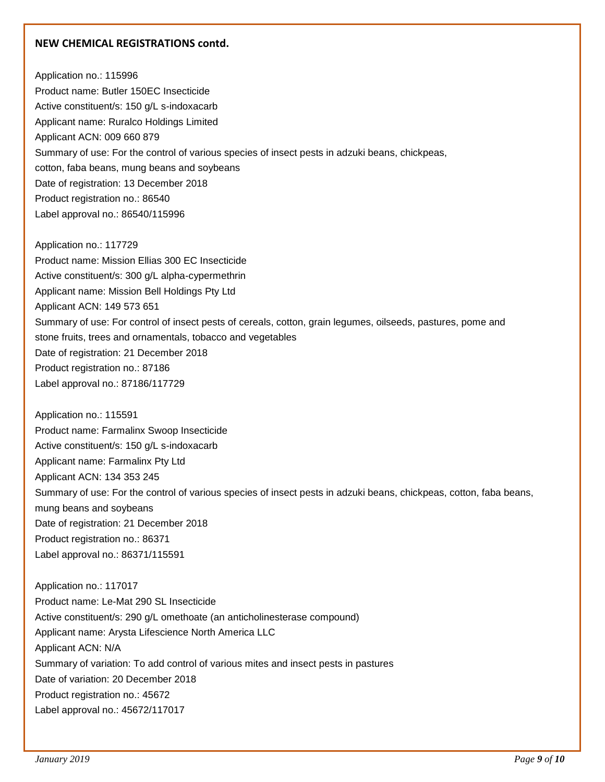#### **NEW CHEMICAL REGISTRATIONS contd.**

Application no.: 115996 Product name: Butler 150EC Insecticide Active constituent/s: 150 g/L s-indoxacarb Applicant name: Ruralco Holdings Limited Applicant ACN: 009 660 879 Summary of use: For the control of various species of insect pests in adzuki beans, chickpeas, cotton, faba beans, mung beans and soybeans Date of registration: 13 December 2018 Product registration no.: 86540 Label approval no.: 86540/115996

Application no.: 117729 Product name: Mission Ellias 300 EC Insecticide Active constituent/s: 300 g/L alpha-cypermethrin Applicant name: Mission Bell Holdings Pty Ltd Applicant ACN: 149 573 651 Summary of use: For control of insect pests of cereals, cotton, grain legumes, oilseeds, pastures, pome and stone fruits, trees and ornamentals, tobacco and vegetables Date of registration: 21 December 2018 Product registration no.: 87186 Label approval no.: 87186/117729

Application no.: 115591 Product name: Farmalinx Swoop Insecticide Active constituent/s: 150 g/L s-indoxacarb Applicant name: Farmalinx Pty Ltd Applicant ACN: 134 353 245 Summary of use: For the control of various species of insect pests in adzuki beans, chickpeas, cotton, faba beans, mung beans and soybeans Date of registration: 21 December 2018 Product registration no.: 86371 Label approval no.: 86371/115591

Application no.: 117017 Product name: Le-Mat 290 SL Insecticide Active constituent/s: 290 g/L omethoate (an anticholinesterase compound) Applicant name: Arysta Lifescience North America LLC Applicant ACN: N/A Summary of variation: To add control of various mites and insect pests in pastures Date of variation: 20 December 2018 Product registration no.: 45672 Label approval no.: 45672/117017